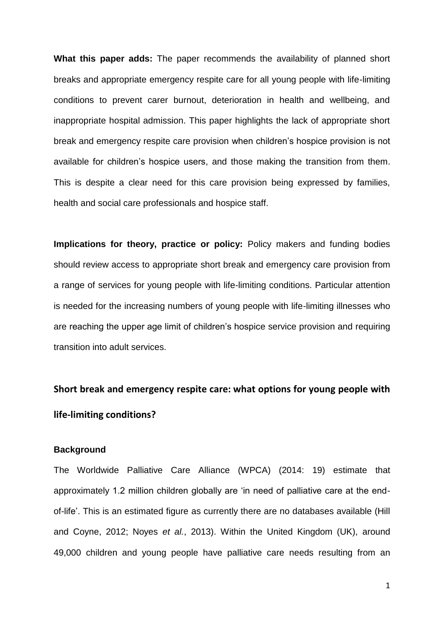**What this paper adds:** The paper recommends the availability of planned short breaks and appropriate emergency respite care for all young people with life-limiting conditions to prevent carer burnout, deterioration in health and wellbeing, and inappropriate hospital admission. This paper highlights the lack of appropriate short break and emergency respite care provision when children's hospice provision is not available for children's hospice users, and those making the transition from them. This is despite a clear need for this care provision being expressed by families, health and social care professionals and hospice staff.

**Implications for theory, practice or policy:** Policy makers and funding bodies should review access to appropriate short break and emergency care provision from a range of services for young people with life-limiting conditions. Particular attention is needed for the increasing numbers of young people with life-limiting illnesses who are reaching the upper age limit of children's hospice service provision and requiring transition into adult services.

# **Short break and emergency respite care: what options for young people with life-limiting conditions?**

# **Background**

The Worldwide Palliative Care Alliance (WPCA) (2014: 19) estimate that approximately 1.2 million children globally are 'in need of palliative care at the endof-life'. This is an estimated figure as currently there are no databases available (Hill and Coyne, 2012; Noyes *et al.*, 2013). Within the United Kingdom (UK), around 49,000 children and young people have palliative care needs resulting from an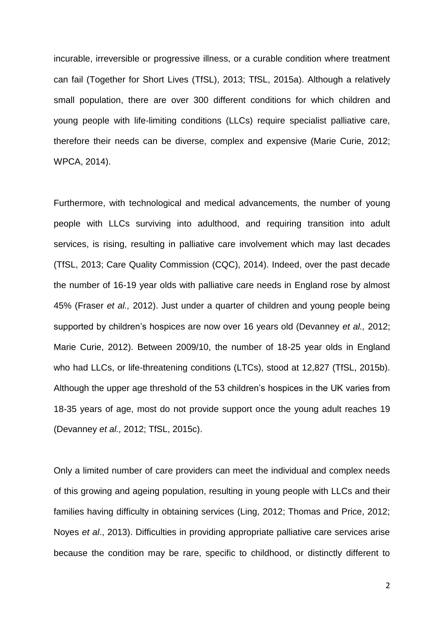incurable, irreversible or progressive illness, or a curable condition where treatment can fail (Together for Short Lives (TfSL), 2013; TfSL, 2015a). Although a relatively small population, there are over 300 different conditions for which children and young people with life-limiting conditions (LLCs) require specialist palliative care, therefore their needs can be diverse, complex and expensive (Marie Curie, 2012; WPCA, 2014).

Furthermore, with technological and medical advancements, the number of young people with LLCs surviving into adulthood, and requiring transition into adult services, is rising, resulting in palliative care involvement which may last decades (TfSL, 2013; Care Quality Commission (CQC), 2014). Indeed, over the past decade the number of 16-19 year olds with palliative care needs in England rose by almost 45% (Fraser *et al.,* 2012). Just under a quarter of children and young people being supported by children's hospices are now over 16 years old (Devanney *et al.,* 2012; Marie Curie, 2012). Between 2009/10, the number of 18-25 year olds in England who had LLCs, or life-threatening conditions (LTCs), stood at 12,827 (TfSL, 2015b). Although the upper age threshold of the 53 children's hospices in the UK varies from 18-35 years of age, most do not provide support once the young adult reaches 19 (Devanney *et al.,* 2012; TfSL, 2015c).

Only a limited number of care providers can meet the individual and complex needs of this growing and ageing population, resulting in young people with LLCs and their families having difficulty in obtaining services (Ling, 2012; Thomas and Price, 2012; Noyes *et al*., 2013). Difficulties in providing appropriate palliative care services arise because the condition may be rare, specific to childhood, or distinctly different to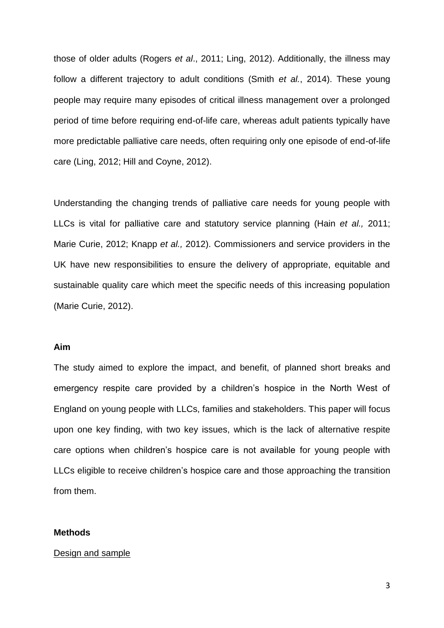those of older adults (Rogers *et al*., 2011; Ling, 2012). Additionally, the illness may follow a different trajectory to adult conditions (Smith *et al.*, 2014). These young people may require many episodes of critical illness management over a prolonged period of time before requiring end-of-life care, whereas adult patients typically have more predictable palliative care needs, often requiring only one episode of end-of-life care (Ling, 2012; Hill and Coyne, 2012).

Understanding the changing trends of palliative care needs for young people with LLCs is vital for palliative care and statutory service planning (Hain *et al.,* 2011; Marie Curie, 2012; Knapp *et al.,* 2012). Commissioners and service providers in the UK have new responsibilities to ensure the delivery of appropriate, equitable and sustainable quality care which meet the specific needs of this increasing population (Marie Curie, 2012).

# **Aim**

The study aimed to explore the impact, and benefit, of planned short breaks and emergency respite care provided by a children's hospice in the North West of England on young people with LLCs, families and stakeholders. This paper will focus upon one key finding, with two key issues, which is the lack of alternative respite care options when children's hospice care is not available for young people with LLCs eligible to receive children's hospice care and those approaching the transition from them.

### **Methods**

## Design and sample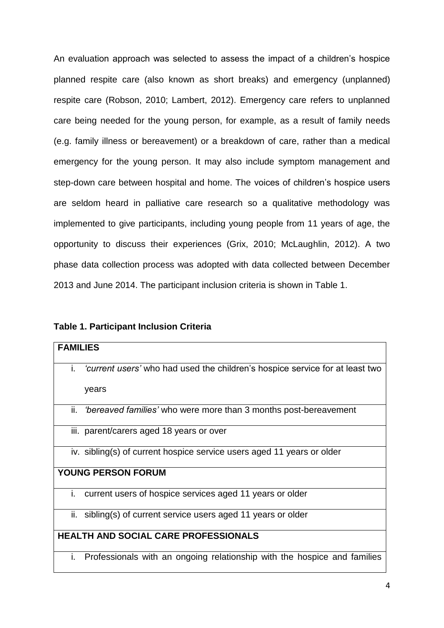An evaluation approach was selected to assess the impact of a children's hospice planned respite care (also known as short breaks) and emergency (unplanned) respite care (Robson, 2010; Lambert, 2012). Emergency care refers to unplanned care being needed for the young person, for example, as a result of family needs (e.g. family illness or bereavement) or a breakdown of care, rather than a medical emergency for the young person. It may also include symptom management and step-down care between hospital and home. The voices of children's hospice users are seldom heard in palliative care research so a qualitative methodology was implemented to give participants, including young people from 11 years of age, the opportunity to discuss their experiences (Grix, 2010; McLaughlin, 2012). A two phase data collection process was adopted with data collected between December 2013 and June 2014. The participant inclusion criteria is shown in Table 1.

## **Table 1. Participant Inclusion Criteria**

| <b>FAMILIES</b>                                                                    |
|------------------------------------------------------------------------------------|
| i.<br>'current users' who had used the children's hospice service for at least two |
| years                                                                              |
| ii.<br><i>bereaved families'</i> who were more than 3 months post-bereavement      |
| iii. parent/carers aged 18 years or over                                           |
| iv. sibling(s) of current hospice service users aged 11 years or older             |
| <b>YOUNG PERSON FORUM</b>                                                          |
| i.<br>current users of hospice services aged 11 years or older                     |
| ii. sibling(s) of current service users aged 11 years or older                     |
| <b>HEALTH AND SOCIAL CARE PROFESSIONALS</b>                                        |
| Professionals with an ongoing relationship with the hospice and families<br>i.     |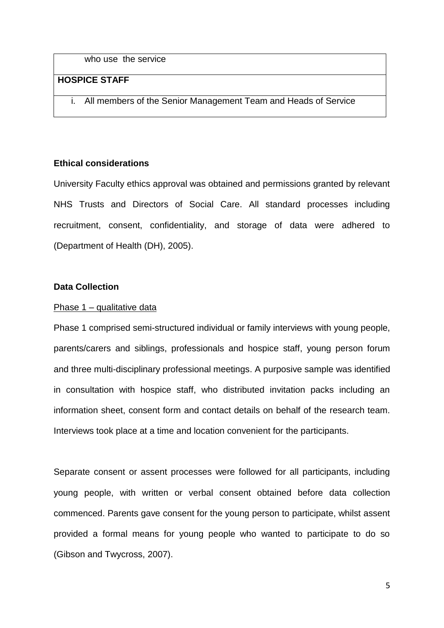who use the service

# **HOSPICE STAFF**

i. All members of the Senior Management Team and Heads of Service

## **Ethical considerations**

University Faculty ethics approval was obtained and permissions granted by relevant NHS Trusts and Directors of Social Care. All standard processes including recruitment, consent, confidentiality, and storage of data were adhered to (Department of Health (DH), 2005).

### **Data Collection**

### Phase 1 – qualitative data

Phase 1 comprised semi-structured individual or family interviews with young people, parents/carers and siblings, professionals and hospice staff, young person forum and three multi-disciplinary professional meetings. A purposive sample was identified in consultation with hospice staff, who distributed invitation packs including an information sheet, consent form and contact details on behalf of the research team. Interviews took place at a time and location convenient for the participants.

Separate consent or assent processes were followed for all participants, including young people, with written or verbal consent obtained before data collection commenced. Parents gave consent for the young person to participate, whilst assent provided a formal means for young people who wanted to participate to do so (Gibson and Twycross, 2007).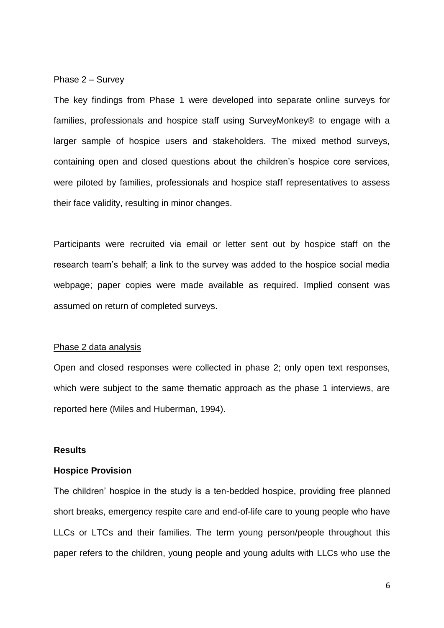## Phase 2 – Survey

The key findings from Phase 1 were developed into separate online surveys for families, professionals and hospice staff using SurveyMonkey® to engage with a larger sample of hospice users and stakeholders. The mixed method surveys, containing open and closed questions about the children's hospice core services, were piloted by families, professionals and hospice staff representatives to assess their face validity, resulting in minor changes.

Participants were recruited via email or letter sent out by hospice staff on the research team's behalf; a link to the survey was added to the hospice social media webpage; paper copies were made available as required. Implied consent was assumed on return of completed surveys.

#### Phase 2 data analysis

Open and closed responses were collected in phase 2; only open text responses, which were subject to the same thematic approach as the phase 1 interviews, are reported here (Miles and Huberman, 1994).

### **Results**

#### **Hospice Provision**

The children' hospice in the study is a ten-bedded hospice, providing free planned short breaks, emergency respite care and end-of-life care to young people who have LLCs or LTCs and their families. The term young person/people throughout this paper refers to the children, young people and young adults with LLCs who use the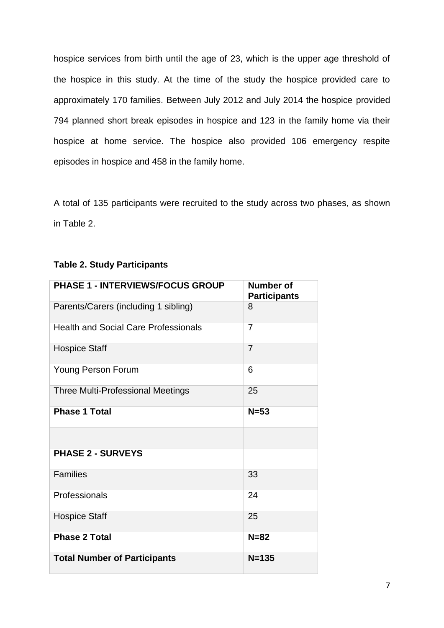hospice services from birth until the age of 23, which is the upper age threshold of the hospice in this study. At the time of the study the hospice provided care to approximately 170 families. Between July 2012 and July 2014 the hospice provided 794 planned short break episodes in hospice and 123 in the family home via their hospice at home service. The hospice also provided 106 emergency respite episodes in hospice and 458 in the family home.

A total of 135 participants were recruited to the study across two phases, as shown in Table 2.

| <b>PHASE 1 - INTERVIEWS/FOCUS GROUP</b>     | <b>Number of</b>    |
|---------------------------------------------|---------------------|
|                                             | <b>Participants</b> |
| Parents/Carers (including 1 sibling)        | 8                   |
| <b>Health and Social Care Professionals</b> | $\overline{7}$      |
| <b>Hospice Staff</b>                        | $\overline{7}$      |
| <b>Young Person Forum</b>                   | 6                   |
| <b>Three Multi-Professional Meetings</b>    | 25                  |
| <b>Phase 1 Total</b>                        | $N=53$              |
|                                             |                     |
| <b>PHASE 2 - SURVEYS</b>                    |                     |
| <b>Families</b>                             | 33                  |
| Professionals                               | 24                  |
| <b>Hospice Staff</b>                        | 25                  |
| <b>Phase 2 Total</b>                        | $N = 82$            |
| <b>Total Number of Participants</b>         | $N = 135$           |

# **Table 2. Study Participants**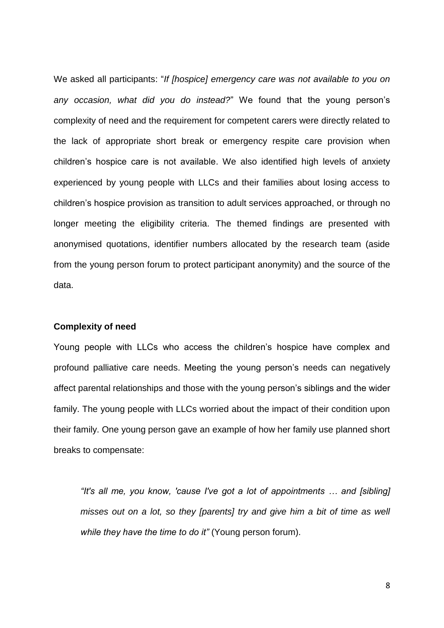We asked all participants: "*If [hospice] emergency care was not available to you on any occasion, what did you do instead?*" We found that the young person's complexity of need and the requirement for competent carers were directly related to the lack of appropriate short break or emergency respite care provision when children's hospice care is not available. We also identified high levels of anxiety experienced by young people with LLCs and their families about losing access to children's hospice provision as transition to adult services approached, or through no longer meeting the eligibility criteria. The themed findings are presented with anonymised quotations, identifier numbers allocated by the research team (aside from the young person forum to protect participant anonymity) and the source of the data.

## **Complexity of need**

Young people with LLCs who access the children's hospice have complex and profound palliative care needs. Meeting the young person's needs can negatively affect parental relationships and those with the young person's siblings and the wider family. The young people with LLCs worried about the impact of their condition upon their family. One young person gave an example of how her family use planned short breaks to compensate:

*"It's all me, you know, 'cause I've got a lot of appointments … and [sibling] misses out on a lot, so they [parents] try and give him a bit of time as well while they have the time to do it"* (Young person forum).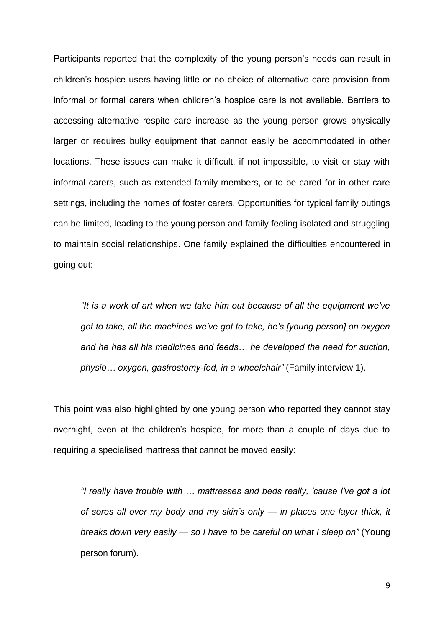Participants reported that the complexity of the young person's needs can result in children's hospice users having little or no choice of alternative care provision from informal or formal carers when children's hospice care is not available. Barriers to accessing alternative respite care increase as the young person grows physically larger or requires bulky equipment that cannot easily be accommodated in other locations. These issues can make it difficult, if not impossible, to visit or stay with informal carers, such as extended family members, or to be cared for in other care settings, including the homes of foster carers. Opportunities for typical family outings can be limited, leading to the young person and family feeling isolated and struggling to maintain social relationships. One family explained the difficulties encountered in going out:

*"It is a work of art when we take him out because of all the equipment we've got to take, all the machines we've got to take, he's [young person] on oxygen and he has all his medicines and feeds… he developed the need for suction, physio… oxygen, gastrostomy-fed, in a wheelchair"* (Family interview 1).

This point was also highlighted by one young person who reported they cannot stay overnight, even at the children's hospice, for more than a couple of days due to requiring a specialised mattress that cannot be moved easily:

*"I really have trouble with … mattresses and beds really, 'cause I've got a lot of sores all over my body and my skin's only — in places one layer thick, it breaks down very easily — so I have to be careful on what I sleep on"* (Young person forum).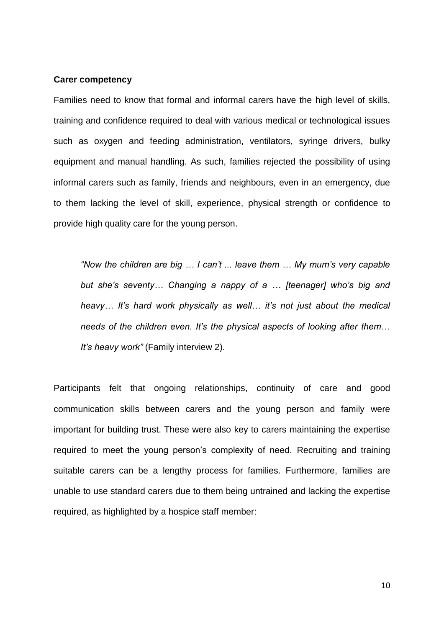## **Carer competency**

Families need to know that formal and informal carers have the high level of skills, training and confidence required to deal with various medical or technological issues such as oxygen and feeding administration, ventilators, syringe drivers, bulky equipment and manual handling. As such, families rejected the possibility of using informal carers such as family, friends and neighbours, even in an emergency, due to them lacking the level of skill, experience, physical strength or confidence to provide high quality care for the young person.

*"Now the children are big … I can't ... leave them … My mum's very capable but she's seventy… Changing a nappy of a … [teenager] who's big and heavy… It's hard work physically as well… it's not just about the medical needs of the children even. It's the physical aspects of looking after them… It's heavy work"* (Family interview 2).

Participants felt that ongoing relationships, continuity of care and good communication skills between carers and the young person and family were important for building trust. These were also key to carers maintaining the expertise required to meet the young person's complexity of need. Recruiting and training suitable carers can be a lengthy process for families. Furthermore, families are unable to use standard carers due to them being untrained and lacking the expertise required, as highlighted by a hospice staff member: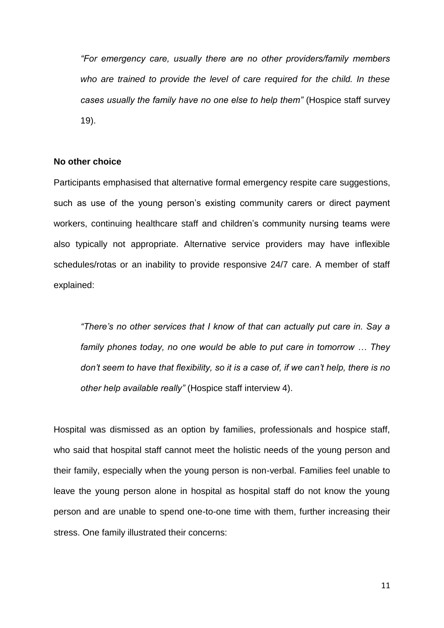*"For emergency care, usually there are no other providers/family members who are trained to provide the level of care required for the child. In these cases usually the family have no one else to help them"* (Hospice staff survey 19).

## **No other choice**

Participants emphasised that alternative formal emergency respite care suggestions, such as use of the young person's existing community carers or direct payment workers, continuing healthcare staff and children's community nursing teams were also typically not appropriate. Alternative service providers may have inflexible schedules/rotas or an inability to provide responsive 24/7 care. A member of staff explained:

*"There's no other services that I know of that can actually put care in. Say a family phones today, no one would be able to put care in tomorrow … They don't seem to have that flexibility, so it is a case of, if we can't help, there is no other help available really"* (Hospice staff interview 4).

Hospital was dismissed as an option by families, professionals and hospice staff, who said that hospital staff cannot meet the holistic needs of the young person and their family, especially when the young person is non-verbal. Families feel unable to leave the young person alone in hospital as hospital staff do not know the young person and are unable to spend one-to-one time with them, further increasing their stress. One family illustrated their concerns: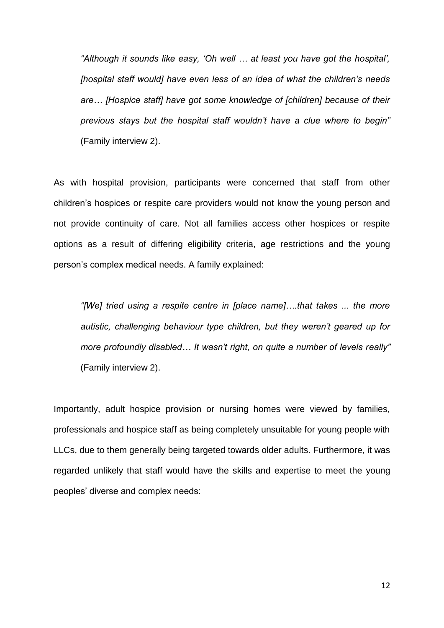*"Although it sounds like easy, 'Oh well … at least you have got the hospital', [hospital staff would] have even less of an idea of what the children's needs are… [Hospice staff] have got some knowledge of [children] because of their previous stays but the hospital staff wouldn't have a clue where to begin"* (Family interview 2).

As with hospital provision, participants were concerned that staff from other children's hospices or respite care providers would not know the young person and not provide continuity of care. Not all families access other hospices or respite options as a result of differing eligibility criteria, age restrictions and the young person's complex medical needs. A family explained:

*"[We] tried using a respite centre in [place name]….that takes ... the more autistic, challenging behaviour type children, but they weren't geared up for more profoundly disabled… It wasn't right, on quite a number of levels really"* (Family interview 2).

Importantly, adult hospice provision or nursing homes were viewed by families, professionals and hospice staff as being completely unsuitable for young people with LLCs, due to them generally being targeted towards older adults. Furthermore, it was regarded unlikely that staff would have the skills and expertise to meet the young peoples' diverse and complex needs: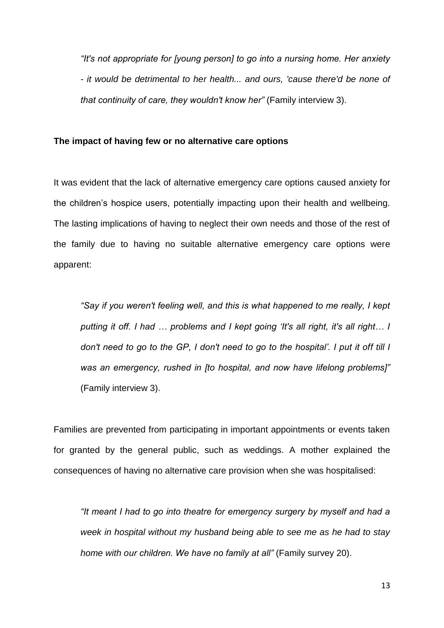*"It's not appropriate for [young person] to go into a nursing home. Her anxiety - it would be detrimental to her health... and ours, 'cause there'd be none of that continuity of care, they wouldn't know her"* (Family interview 3).

## **The impact of having few or no alternative care options**

It was evident that the lack of alternative emergency care options caused anxiety for the children's hospice users, potentially impacting upon their health and wellbeing. The lasting implications of having to neglect their own needs and those of the rest of the family due to having no suitable alternative emergency care options were apparent:

*"Say if you weren't feeling well, and this is what happened to me really, I kept putting it off. I had … problems and I kept going 'It's all right, it's all right… I don't need to go to the GP, I don't need to go to the hospital'. I put it off till I was an emergency, rushed in [to hospital, and now have lifelong problems]"*  (Family interview 3).

Families are prevented from participating in important appointments or events taken for granted by the general public, such as weddings. A mother explained the consequences of having no alternative care provision when she was hospitalised:

*"It meant I had to go into theatre for emergency surgery by myself and had a week in hospital without my husband being able to see me as he had to stay home with our children. We have no family at all"* (Family survey 20).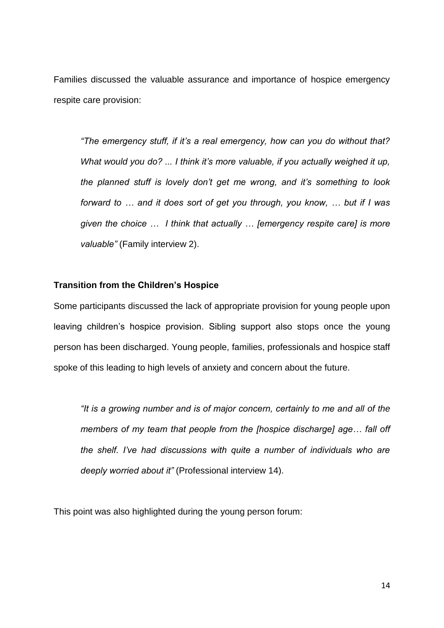Families discussed the valuable assurance and importance of hospice emergency respite care provision:

*"The emergency stuff, if it's a real emergency, how can you do without that? What would you do? ... I think it's more valuable, if you actually weighed it up, the planned stuff is lovely don't get me wrong, and it's something to look forward to … and it does sort of get you through, you know, … but if I was given the choice … I think that actually … [emergency respite care] is more valuable"* (Family interview 2).

# **Transition from the Children's Hospice**

Some participants discussed the lack of appropriate provision for young people upon leaving children's hospice provision. Sibling support also stops once the young person has been discharged. Young people, families, professionals and hospice staff spoke of this leading to high levels of anxiety and concern about the future.

*"It is a growing number and is of major concern, certainly to me and all of the members of my team that people from the [hospice discharge] age… fall off the shelf. I've had discussions with quite a number of individuals who are deeply worried about it"* (Professional interview 14).

This point was also highlighted during the young person forum: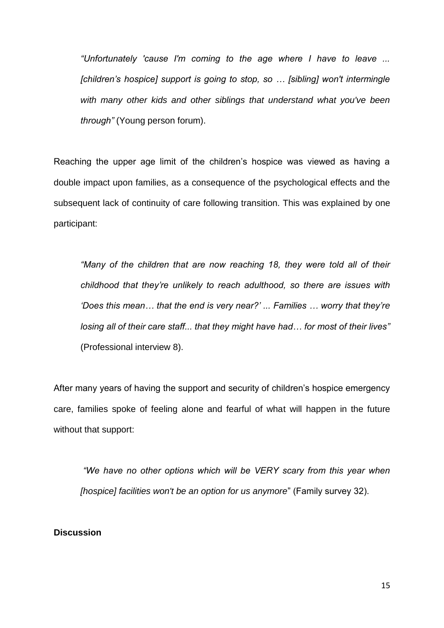*"Unfortunately 'cause I'm coming to the age where I have to leave ... [children's hospice] support is going to stop, so … [sibling] won't intermingle with many other kids and other siblings that understand what you've been through"* (Young person forum).

Reaching the upper age limit of the children's hospice was viewed as having a double impact upon families, as a consequence of the psychological effects and the subsequent lack of continuity of care following transition. This was explained by one participant:

*"Many of the children that are now reaching 18, they were told all of their childhood that they're unlikely to reach adulthood, so there are issues with 'Does this mean… that the end is very near?' ... Families … worry that they're losing all of their care staff... that they might have had… for most of their lives"* (Professional interview 8).

After many years of having the support and security of children's hospice emergency care, families spoke of feeling alone and fearful of what will happen in the future without that support:

*"We have no other options which will be VERY scary from this year when [hospice] facilities won't be an option for us anymore*" (Family survey 32).

# **Discussion**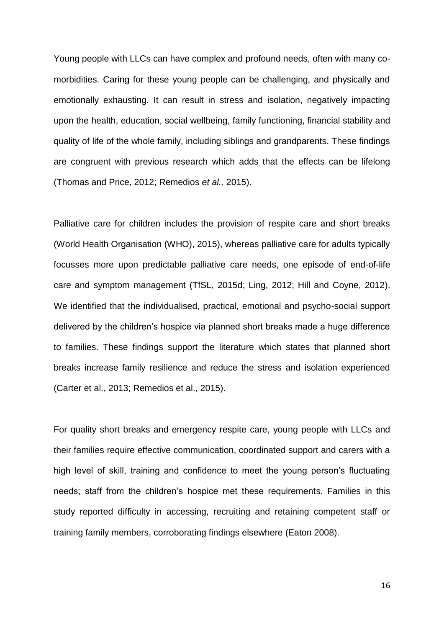Young people with LLCs can have complex and profound needs, often with many comorbidities. Caring for these young people can be challenging, and physically and emotionally exhausting. It can result in stress and isolation, negatively impacting upon the health, education, social wellbeing, family functioning, financial stability and quality of life of the whole family, including siblings and grandparents. These findings are congruent with previous research which adds that the effects can be lifelong (Thomas and Price, 2012; Remedios *et al.,* 2015).

Palliative care for children includes the provision of respite care and short breaks (World Health Organisation (WHO), 2015), whereas palliative care for adults typically focusses more upon predictable palliative care needs, one episode of end-of-life care and symptom management (TfSL, 2015d; Ling, 2012; Hill and Coyne, 2012). We identified that the individualised, practical, emotional and psycho-social support delivered by the children's hospice via planned short breaks made a huge difference to families. These findings support the literature which states that planned short breaks increase family resilience and reduce the stress and isolation experienced (Carter et al., 2013; Remedios et al., 2015).

For quality short breaks and emergency respite care, young people with LLCs and their families require effective communication, coordinated support and carers with a high level of skill, training and confidence to meet the young person's fluctuating needs; staff from the children's hospice met these requirements. Families in this study reported difficulty in accessing, recruiting and retaining competent staff or training family members, corroborating findings elsewhere (Eaton 2008).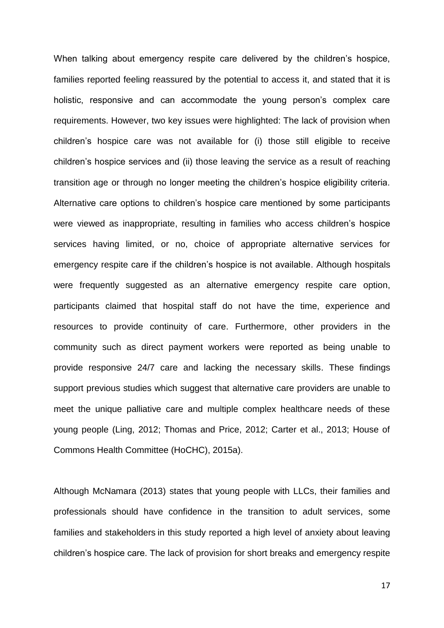When talking about emergency respite care delivered by the children's hospice, families reported feeling reassured by the potential to access it, and stated that it is holistic, responsive and can accommodate the young person's complex care requirements. However, two key issues were highlighted: The lack of provision when children's hospice care was not available for (i) those still eligible to receive children's hospice services and (ii) those leaving the service as a result of reaching transition age or through no longer meeting the children's hospice eligibility criteria. Alternative care options to children's hospice care mentioned by some participants were viewed as inappropriate, resulting in families who access children's hospice services having limited, or no, choice of appropriate alternative services for emergency respite care if the children's hospice is not available. Although hospitals were frequently suggested as an alternative emergency respite care option, participants claimed that hospital staff do not have the time, experience and resources to provide continuity of care. Furthermore, other providers in the community such as direct payment workers were reported as being unable to provide responsive 24/7 care and lacking the necessary skills. These findings support previous studies which suggest that alternative care providers are unable to meet the unique palliative care and multiple complex healthcare needs of these young people (Ling, 2012; Thomas and Price, 2012; Carter et al., 2013; House of Commons Health Committee (HoCHC), 2015a).

Although McNamara (2013) states that young people with LLCs, their families and professionals should have confidence in the transition to adult services, some families and stakeholders in this study reported a high level of anxiety about leaving children's hospice care. The lack of provision for short breaks and emergency respite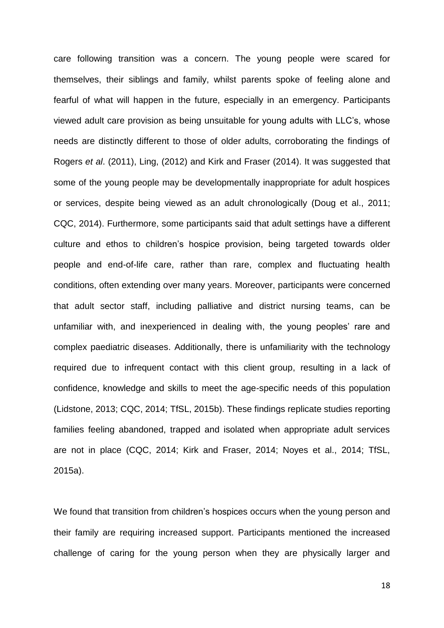care following transition was a concern. The young people were scared for themselves, their siblings and family, whilst parents spoke of feeling alone and fearful of what will happen in the future, especially in an emergency. Participants viewed adult care provision as being unsuitable for young adults with LLC's, whose needs are distinctly different to those of older adults, corroborating the findings of Rogers *et al*. (2011), Ling, (2012) and Kirk and Fraser (2014). It was suggested that some of the young people may be developmentally inappropriate for adult hospices or services, despite being viewed as an adult chronologically (Doug et al., 2011; CQC, 2014). Furthermore, some participants said that adult settings have a different culture and ethos to children's hospice provision, being targeted towards older people and end-of-life care, rather than rare, complex and fluctuating health conditions, often extending over many years. Moreover, participants were concerned that adult sector staff, including palliative and district nursing teams, can be unfamiliar with, and inexperienced in dealing with, the young peoples' rare and complex paediatric diseases. Additionally, there is unfamiliarity with the technology required due to infrequent contact with this client group, resulting in a lack of confidence, knowledge and skills to meet the age-specific needs of this population (Lidstone, 2013; CQC, 2014; TfSL, 2015b). These findings replicate studies reporting families feeling abandoned, trapped and isolated when appropriate adult services are not in place (CQC, 2014; Kirk and Fraser, 2014; Noyes et al., 2014; TfSL, 2015a).

We found that transition from children's hospices occurs when the young person and their family are requiring increased support. Participants mentioned the increased challenge of caring for the young person when they are physically larger and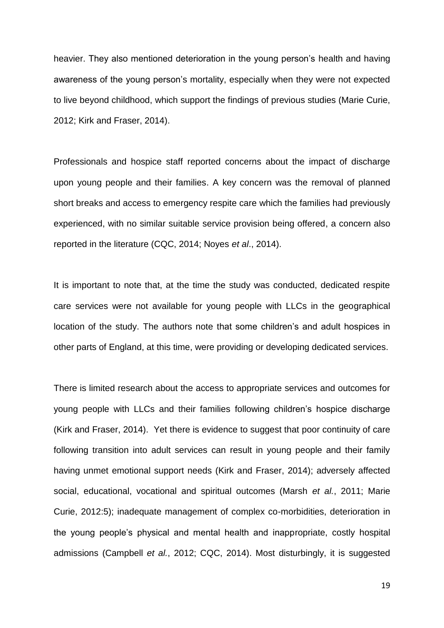heavier. They also mentioned deterioration in the young person's health and having awareness of the young person's mortality, especially when they were not expected to live beyond childhood, which support the findings of previous studies (Marie Curie, 2012; Kirk and Fraser, 2014).

Professionals and hospice staff reported concerns about the impact of discharge upon young people and their families. A key concern was the removal of planned short breaks and access to emergency respite care which the families had previously experienced, with no similar suitable service provision being offered, a concern also reported in the literature (CQC, 2014; Noyes *et al*., 2014).

It is important to note that, at the time the study was conducted, dedicated respite care services were not available for young people with LLCs in the geographical location of the study. The authors note that some children's and adult hospices in other parts of England, at this time, were providing or developing dedicated services.

There is limited research about the access to appropriate services and outcomes for young people with LLCs and their families following children's hospice discharge (Kirk and Fraser, 2014). Yet there is evidence to suggest that poor continuity of care following transition into adult services can result in young people and their family having unmet emotional support needs (Kirk and Fraser, 2014); adversely affected social, educational, vocational and spiritual outcomes (Marsh *et al.*, 2011; Marie Curie, 2012:5); inadequate management of complex co-morbidities, deterioration in the young people's physical and mental health and inappropriate, costly hospital admissions (Campbell *et al.*, 2012; CQC, 2014). Most disturbingly, it is suggested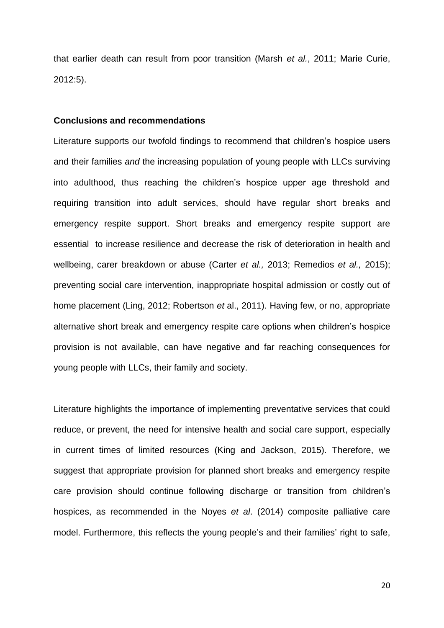that earlier death can result from poor transition (Marsh *et al.*, 2011; Marie Curie, 2012:5).

## **Conclusions and recommendations**

Literature supports our twofold findings to recommend that children's hospice users and their families *and* the increasing population of young people with LLCs surviving into adulthood, thus reaching the children's hospice upper age threshold and requiring transition into adult services, should have regular short breaks and emergency respite support. Short breaks and emergency respite support are essential to increase resilience and decrease the risk of deterioration in health and wellbeing, carer breakdown or abuse (Carter *et al.,* 2013; Remedios *et al.,* 2015); preventing social care intervention, inappropriate hospital admission or costly out of home placement (Ling, 2012; Robertson *et* al., 2011). Having few, or no, appropriate alternative short break and emergency respite care options when children's hospice provision is not available, can have negative and far reaching consequences for young people with LLCs, their family and society.

Literature highlights the importance of implementing preventative services that could reduce, or prevent, the need for intensive health and social care support, especially in current times of limited resources (King and Jackson, 2015). Therefore, we suggest that appropriate provision for planned short breaks and emergency respite care provision should continue following discharge or transition from children's hospices, as recommended in the Noyes *et al*. (2014) composite palliative care model. Furthermore, this reflects the young people's and their families' right to safe,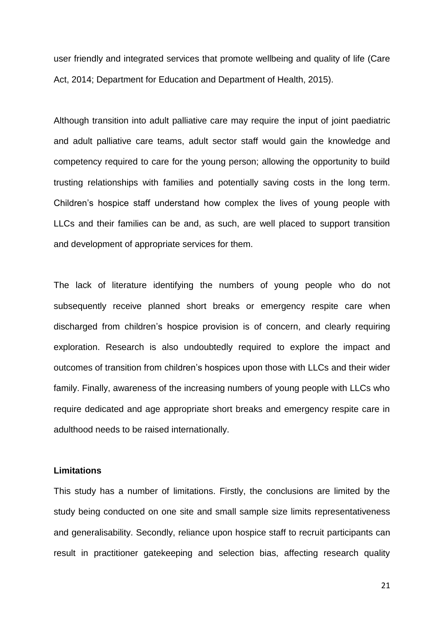user friendly and integrated services that promote wellbeing and quality of life (Care Act, 2014; Department for Education and Department of Health, 2015).

Although transition into adult palliative care may require the input of joint paediatric and adult palliative care teams, adult sector staff would gain the knowledge and competency required to care for the young person; allowing the opportunity to build trusting relationships with families and potentially saving costs in the long term. Children's hospice staff understand how complex the lives of young people with LLCs and their families can be and, as such, are well placed to support transition and development of appropriate services for them.

The lack of literature identifying the numbers of young people who do not subsequently receive planned short breaks or emergency respite care when discharged from children's hospice provision is of concern, and clearly requiring exploration. Research is also undoubtedly required to explore the impact and outcomes of transition from children's hospices upon those with LLCs and their wider family. Finally, awareness of the increasing numbers of young people with LLCs who require dedicated and age appropriate short breaks and emergency respite care in adulthood needs to be raised internationally.

# **Limitations**

This study has a number of limitations. Firstly, the conclusions are limited by the study being conducted on one site and small sample size limits representativeness and generalisability. Secondly, reliance upon hospice staff to recruit participants can result in practitioner gatekeeping and selection bias, affecting research quality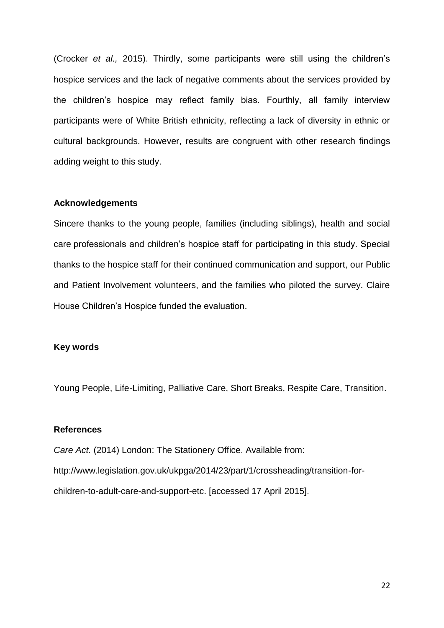(Crocker *et al.,* 2015). Thirdly, some participants were still using the children's hospice services and the lack of negative comments about the services provided by the children's hospice may reflect family bias. Fourthly, all family interview participants were of White British ethnicity, reflecting a lack of diversity in ethnic or cultural backgrounds. However, results are congruent with other research findings adding weight to this study.

## **Acknowledgements**

Sincere thanks to the young people, families (including siblings), health and social care professionals and children's hospice staff for participating in this study. Special thanks to the hospice staff for their continued communication and support, our Public and Patient Involvement volunteers, and the families who piloted the survey. Claire House Children's Hospice funded the evaluation.

# **Key words**

Young People, Life-Limiting, Palliative Care, Short Breaks, Respite Care, Transition.

## **References**

*Care Act.* (2014) London: The Stationery Office. Available from: http://www.legislation.gov.uk/ukpga/2014/23/part/1/crossheading/transition-forchildren-to-adult-care-and-support-etc. [accessed 17 April 2015].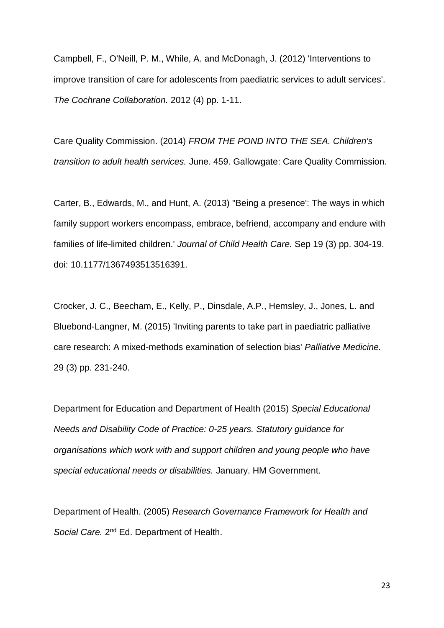Campbell, F., O'Neill, P. M., While, A. and McDonagh, J. (2012) 'Interventions to improve transition of care for adolescents from paediatric services to adult services'. *The Cochrane Collaboration.* 2012 (4) pp. 1-11.

Care Quality Commission. (2014) *FROM THE POND INTO THE SEA. Children's transition to adult health services.* June. 459. Gallowgate: Care Quality Commission.

Carter, B., Edwards, M., and Hunt, A. (2013) ''Being a presence': The ways in which family support workers encompass, embrace, befriend, accompany and endure with families of life-limited children.' *Journal of Child Health Care.* Sep 19 (3) pp. 304-19. doi: 10.1177/1367493513516391.

Crocker, J. C., Beecham, E., Kelly, P., Dinsdale, A.P., Hemsley, J., Jones, L. and Bluebond-Langner, M. (2015) 'Inviting parents to take part in paediatric palliative care research: A mixed-methods examination of selection bias' *Palliative Medicine.*  29 (3) pp. 231-240.

Department for Education and Department of Health (2015) *Special Educational Needs and Disability Code of Practice: 0-25 years. Statutory guidance for organisations which work with and support children and young people who have special educational needs or disabilities.* January. HM Government.

Department of Health. (2005) *Research Governance Framework for Health and*  Social Care. 2<sup>nd</sup> Ed. Department of Health.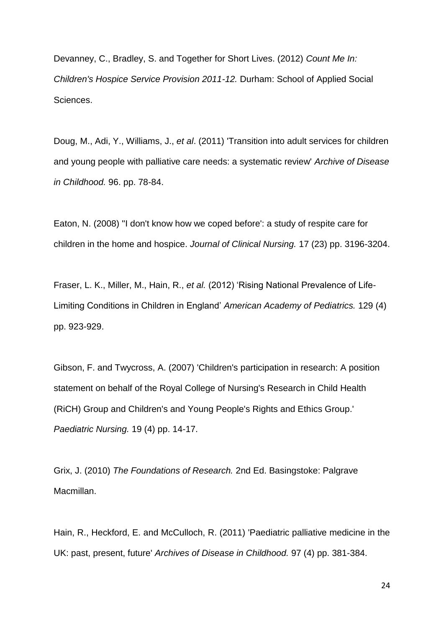Devanney, C., Bradley, S. and Together for Short Lives. (2012) *Count Me In: Children's Hospice Service Provision 2011-12.* Durham: School of Applied Social Sciences.

Doug, M., Adi, Y., Williams, J., *et al*. (2011) 'Transition into adult services for children and young people with palliative care needs: a systematic review' *Archive of Disease in Childhood.* 96. pp. 78-84.

Eaton, N. (2008) ''I don't know how we coped before': a study of respite care for children in the home and hospice. *Journal of Clinical Nursing.* 17 (23) pp. 3196-3204.

Fraser, L. K., Miller, M., Hain, R., *et al.* (2012) 'Rising National Prevalence of Life-Limiting Conditions in Children in England' *American Academy of Pediatrics.* 129 (4) pp. 923-929.

Gibson, F. and Twycross, A. (2007) 'Children's participation in research: A position statement on behalf of the Royal College of Nursing's Research in Child Health (RiCH) Group and Children's and Young People's Rights and Ethics Group.' *Paediatric Nursing.* 19 (4) pp. 14-17.

Grix, J. (2010) *The Foundations of Research.* 2nd Ed. Basingstoke: Palgrave Macmillan.

Hain, R., Heckford, E. and McCulloch, R. (2011) 'Paediatric palliative medicine in the UK: past, present, future' *Archives of Disease in Childhood.* 97 (4) pp. 381-384.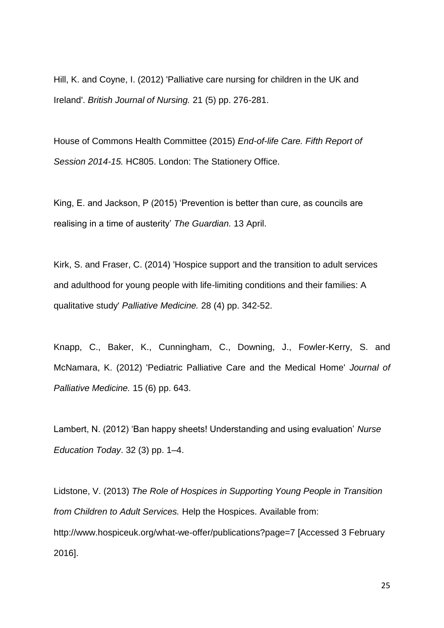Hill, K. and Coyne, I. (2012) 'Palliative care nursing for children in the UK and Ireland'. *British Journal of Nursing.* 21 (5) pp. 276-281.

House of Commons Health Committee (2015) *End-of-life Care. Fifth Report of Session 2014-15.* HC805. London: The Stationery Office.

King, E. and Jackson, P (2015) 'Prevention is better than cure, as councils are realising in a time of austerity' *The Guardian.* 13 April.

Kirk, S. and Fraser, C. (2014) 'Hospice support and the transition to adult services and adulthood for young people with life-limiting conditions and their families: A qualitative study' *Palliative Medicine.* 28 (4) pp. 342-52.

Knapp, C., Baker, K., Cunningham, C., Downing, J., Fowler-Kerry, S. and McNamara, K. (2012) 'Pediatric Palliative Care and the Medical Home' *Journal of Palliative Medicine.* 15 (6) pp. 643.

Lambert, N. (2012) 'Ban happy sheets! Understanding and using evaluation' *Nurse Education Today*. 32 (3) pp. 1–4.

Lidstone, V. (2013) *The Role of Hospices in Supporting Young People in Transition from Children to Adult Services.* Help the Hospices. Available from: http://www.hospiceuk.org/what-we-offer/publications?page=7 [Accessed 3 February 2016].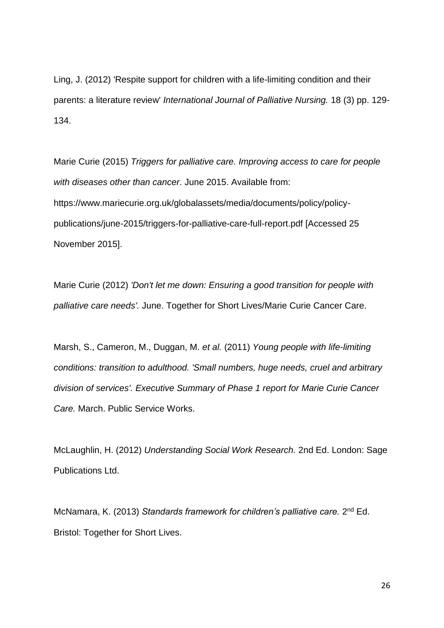Ling, J. (2012) 'Respite support for children with a life-limiting condition and their parents: a literature review' *International Journal of Palliative Nursing.* 18 (3) pp. 129- 134.

Marie Curie (2015) *Triggers for palliative care. Improving access to care for people with diseases other than cancer*. June 2015. Available from: https://www.mariecurie.org.uk/globalassets/media/documents/policy/policypublications/june-2015/triggers-for-palliative-care-full-report.pdf [Accessed 25 November 2015].

Marie Curie (2012) *'Don't let me down: Ensuring a good transition for people with palliative care needs'.* June. Together for Short Lives/Marie Curie Cancer Care.

Marsh, S., Cameron, M., Duggan, M. *et al.* (2011) *Young people with life-limiting conditions: transition to adulthood. 'Small numbers, huge needs, cruel and arbitrary division of services'. Executive Summary of Phase 1 report for Marie Curie Cancer Care.* March. Public Service Works.

McLaughlin, H. (2012) *Understanding Social Work Research.* 2nd Ed. London: Sage Publications Ltd.

McNamara, K. (2013) Standards framework for children's palliative care. 2<sup>nd</sup> Ed. Bristol: Together for Short Lives.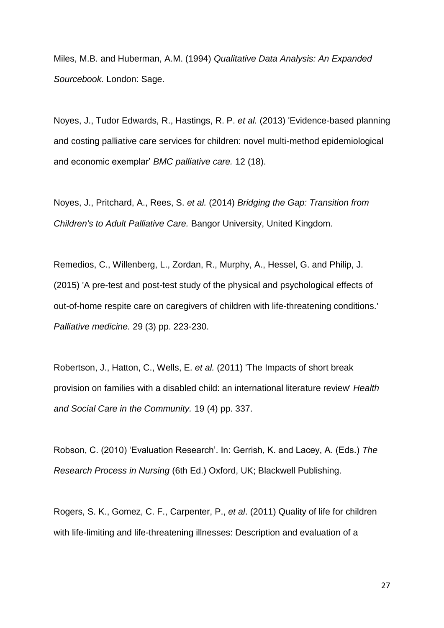Miles, M.B. and Huberman, A.M. (1994) *Qualitative Data Analysis: An Expanded Sourcebook.* London: Sage.

Noyes, J., Tudor Edwards, R., Hastings, R. P. *et al.* (2013) 'Evidence-based planning and costing palliative care services for children: novel multi-method epidemiological and economic exemplar' *BMC palliative care.* 12 (18).

Noyes, J., Pritchard, A., Rees, S. *et al.* (2014) *Bridging the Gap: Transition from Children's to Adult Palliative Care.* Bangor University, United Kingdom.

Remedios, C., Willenberg, L., Zordan, R., Murphy, A., Hessel, G. and Philip, J. (2015) 'A pre-test and post-test study of the physical and psychological effects of out-of-home respite care on caregivers of children with life-threatening conditions.' *Palliative medicine.* 29 (3) pp. 223-230.

Robertson, J., Hatton, C., Wells, E. *et al.* (2011) 'The Impacts of short break provision on families with a disabled child: an international literature review' *Health and Social Care in the Community.* 19 (4) pp. 337.

Robson, C. (2010) 'Evaluation Research'. In: Gerrish, K. and Lacey, A. (Eds.) *The Research Process in Nursing* (6th Ed.) Oxford, UK; Blackwell Publishing.

Rogers, S. K., Gomez, C. F., Carpenter, P., *et al*. (2011) Quality of life for children with life-limiting and life-threatening illnesses: Description and evaluation of a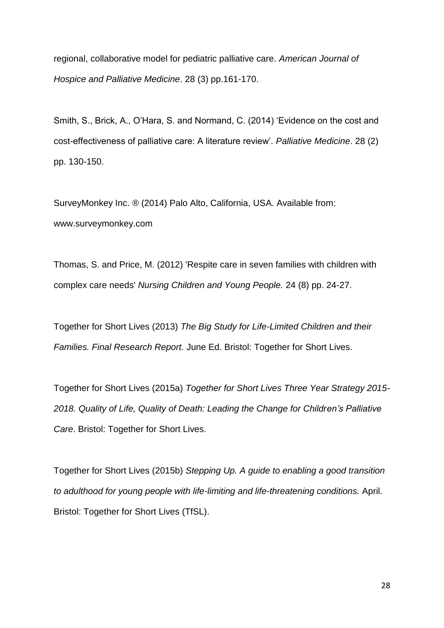regional, collaborative model for pediatric palliative care. *American Journal of Hospice and Palliative Medicine*. 28 (3) pp.161-170.

Smith, S., Brick, A., O'Hara, S. and Normand, C. (2014) 'Evidence on the cost and cost-effectiveness of palliative care: A literature review'. *Palliative Medicine*. 28 (2) pp. 130-150.

SurveyMonkey Inc. ® (2014) Palo Alto, California, USA. Available from: www.surveymonkey.com

Thomas, S. and Price, M. (2012) 'Respite care in seven families with children with complex care needs' *Nursing Children and Young People.* 24 (8) pp. 24-27.

Together for Short Lives (2013) *The Big Study for Life-Limited Children and their Families. Final Research Report.* June Ed. Bristol: Together for Short Lives.

Together for Short Lives (2015a) *Together for Short Lives Three Year Strategy 2015- 2018. Quality of Life, Quality of Death: Leading the Change for Children's Palliative Care*. Bristol: Together for Short Lives.

Together for Short Lives (2015b) *Stepping Up. A guide to enabling a good transition to adulthood for young people with life-limiting and life-threatening conditions.* April. Bristol: Together for Short Lives (TfSL).